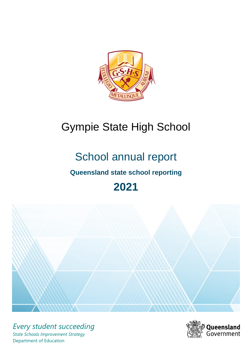

# Gympie State High School

# School annual report

# **Queensland state school reporting**

# **2021**



*Every student succeeding State Schools Improvement Strategy* Department of Education

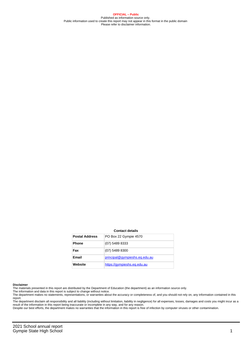**OFFICIAL – Public** Published as information source only. Public information used to create this report may not appear in this format in the public domain Please refer to disclaimer information.

#### **Contact details**

| <b>Postal Address</b> | PO Box 22 Gympie 4570         |
|-----------------------|-------------------------------|
| <b>Phone</b>          | (07) 5489 8333                |
| Fax                   | (07) 5489 8300                |
| Email                 | principal@gympieshs.eg.edu.au |
| Website               | https://gympieshs.eg.edu.au   |

#### **Disclaimer**

The materials presented in this report are distributed by the Department of Education (the department) as an information source only.

The information and data in this report is subject to change without notice.<br>The department makes no statements, representations, or warranties about the accuracy or completeness of, and you should not rely on, any informa report. The department disclaim all responsibility and all liability (including without limitation, liability in negligence) for all expenses, losses, damages and costs you might incur as a

result of the information in this report being inaccurate or incomplete in any way, and for any reason. Despite our best efforts, the department makes no warranties that the information in this report is free of infection by computer viruses or other contamination.

2021 School annual report Gympie State High School 1 and 1 and 2 and 2 and 2 and 2 and 2 and 2 and 2 and 2 and 2 and 2 and 2 and 2 and 2 and 2 and 2 and 2 and 2 and 2 and 2 and 2 and 2 and 2 and 2 and 2 and 2 and 2 and 2 and 2 and 2 and 2 and 2 and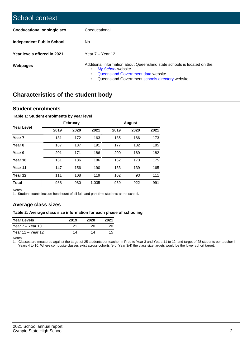| School context                   |                                                                                                                                                                                              |
|----------------------------------|----------------------------------------------------------------------------------------------------------------------------------------------------------------------------------------------|
| Coeducational or single sex      | Coeducational                                                                                                                                                                                |
| <b>Independent Public School</b> | No.                                                                                                                                                                                          |
| Year levels offered in 2021      | Year $7 -$ Year 12                                                                                                                                                                           |
| Webpages                         | Additional information about Queensland state schools is located on the:<br>My School website<br>Queensland Government data website<br>Queensland Government schools directory website.<br>٠ |

# **Characteristics of the student body**

## **Student enrolments**

### **Table 1: Student enrolments by year level**

|                   |      | <b>February</b> |       |      | <b>August</b> |      |
|-------------------|------|-----------------|-------|------|---------------|------|
| <b>Year Level</b> | 2019 | 2020            | 2021  | 2019 | 2020          | 2021 |
| Year <sub>7</sub> | 181  | 172             | 163   | 185  | 166           | 173  |
| Year <sub>8</sub> | 187  | 187             | 191   | 177  | 182           | 185  |
| Year 9            | 201  | 171             | 186   | 200  | 169           | 182  |
| Year 10           | 161  | 186             | 186   | 162  | 173           | 175  |
| Year 11           | 147  | 156             | 190   | 133  | 139           | 165  |
| Year 12           | 111  | 108             | 119   | 102  | 93            | 111  |
| <b>Total</b>      | 988  | 980             | 1,035 | 959  | 922           | 991  |

Notes

1. Student counts include headcount of all full- and part-time students at the school.

# **Average class sizes**

#### **Table 2: Average class size information for each phase of schooling**

| <b>Year Levels</b> | 2019 | 2020 | 2021 |
|--------------------|------|------|------|
| Year 7 – Year 10   | 21   | 20   | 20   |
| Year 11 – Year 12  | 14   | 14   | 15   |

Notes

1. Classes are measured against the target of 25 students per teacher in Prep to Year 3 and Years 11 to 12, and target of 28 students per teacher in Years 4 to 10. Where composite classes exist across cohorts (e.g. Year 3/4) the class size targets would be the lower cohort target.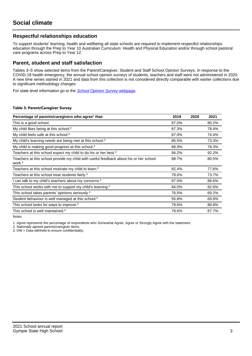# **Respectful relationships education**

To support students' learning, health and wellbeing all state schools are required to implement respectful relationships education through the Prep to Year 10 Australian Curriculum: Health and Physical Education and/or through school pastoral care programs across Prep to Year 12.

## **Parent, student and staff satisfaction**

Tables 3–5 show selected items from the Parent/Caregiver, Student and Staff School Opinion Surveys. In response to the COVID-19 health emergency, the annual school opinion surveys of students, teachers and staff were not administered in 2020. A new time series started in 2021 and data from this collection is not considered directly comparable with earlier collections due to significant methodology changes.

For state level information go to the **[School Opinion Survey](https://qed.qld.gov.au/publications/reports/statistics/schooling/schools/schoolopinionsurvey) webpage**.

#### **Table 3: Parent/Caregiver Survey**

| Percentage of parents/caregivers who agree <sup>1</sup> that:                                               | 2019  | 2020 | 2021  |
|-------------------------------------------------------------------------------------------------------------|-------|------|-------|
| This is a good school.                                                                                      | 87.0% |      | 80.2% |
| My child likes being at this school. <sup>2</sup>                                                           | 87.3% |      | 78.4% |
| My child feels safe at this school. <sup>2</sup>                                                            | 87.0% |      | 74.4% |
| My child's learning needs are being met at this school. <sup>2</sup>                                        | 85.5% |      | 73.3% |
| My child is making good progress at this school. <sup>2</sup>                                               | 88.9% |      | 78.3% |
| Teachers at this school expect my child to do his or her best. <sup>2</sup>                                 | 94.2% |      | 92.2% |
| Teachers at this school provide my child with useful feedback about his or her school<br>work. <sup>2</sup> | 88.7% |      | 80.5% |
| Teachers at this school motivate my child to learn. <sup>2</sup>                                            | 82.4% |      | 77.6% |
| Teachers at this school treat students fairly. <sup>2</sup>                                                 | 78.0% |      | 73.7% |
| can talk to my child's teachers about my concerns. <sup>2</sup>                                             | 87.0% |      | 86.6% |
| This school works with me to support my child's learning. <sup>2</sup>                                      | 84.0% |      | 82.6% |
| This school takes parents' opinions seriously. <sup>2</sup>                                                 | 76.5% |      | 69.2% |
| Student behaviour is well managed at this school. <sup>2</sup>                                              | 55.8% |      | 69.9% |
| This school looks for ways to improve. <sup>2</sup>                                                         | 79.6% |      | 80.8% |
| This school is well maintained. <sup>2</sup>                                                                | 79.6% |      | 87.7% |

Notes

1. Agree represents the percentage of respondents who Somewhat Agree, Agree or Strongly Agree with the statement.

2. Nationally agreed parents/caregiver items.

3. DW = Data withheld to ensure confidentiality.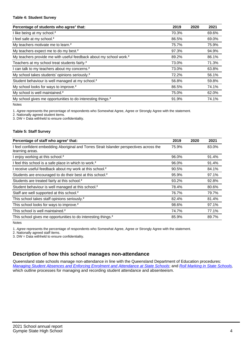#### **Table 4: Student Survey**

| Percentage of students who agree <sup>1</sup> that:                            | 2019  | 2020 | 2021  |
|--------------------------------------------------------------------------------|-------|------|-------|
| I like being at my school. <sup>2</sup>                                        | 70.3% |      | 69.6% |
| I feel safe at my school. <sup>2</sup>                                         | 86.5% |      | 69.0% |
| My teachers motivate me to learn. <sup>2</sup>                                 | 75.7% |      | 75.9% |
| My teachers expect me to do my best. <sup>2</sup>                              | 97.3% |      | 94.9% |
| My teachers provide me with useful feedback about my school work. <sup>2</sup> | 89.2% |      | 86.1% |
| Teachers at my school treat students fairly. <sup>2</sup>                      | 73.0% |      | 71.3% |
| I can talk to my teachers about my concerns. <sup>2</sup>                      | 73.0% |      | 63.8% |
| My school takes students' opinions seriously. <sup>2</sup>                     | 72.2% |      | 56.1% |
| Student behaviour is well managed at my school. <sup>2</sup>                   | 56.8% |      | 59.8% |
| My school looks for ways to improve. <sup>2</sup>                              | 86.5% |      | 74.1% |
| My school is well maintained. <sup>2</sup>                                     | 75.0% |      | 62.0% |
| My school gives me opportunities to do interesting things. <sup>2</sup>        | 91.9% |      | 74.1% |

Notes

1. Agree represents the percentage of respondents who Somewhat Agree, Agree or Strongly Agree with the statement.

2. Nationally agreed student items.

3. DW = Data withheld to ensure confidentiality.

### **Table 5: Staff Survey**

| Percentage of staff who agree <sup>1</sup> that:                                                            | 2019  | 2020 | 2021  |
|-------------------------------------------------------------------------------------------------------------|-------|------|-------|
| I feel confident embedding Aboriginal and Torres Strait Islander perspectives across the<br>learning areas. | 75.9% |      | 83.0% |
| I enjoy working at this school. <sup>2</sup>                                                                | 96.0% |      | 91.4% |
| I feel this school is a safe place in which to work. <sup>2</sup>                                           | 96.0% |      | 91.4% |
| I receive useful feedback about my work at this school. <sup>2</sup>                                        | 90.5% |      | 84.1% |
| Students are encouraged to do their best at this school. <sup>2</sup>                                       | 95.9% |      | 97.1% |
| Students are treated fairly at this school. <sup>2</sup>                                                    | 93.2% |      | 92.8% |
| Student behaviour is well managed at this school. <sup>2</sup>                                              | 78.4% |      | 80.6% |
| Staff are well supported at this school. <sup>2</sup>                                                       | 76.7% |      | 79.7% |
| This school takes staff opinions seriously. <sup>2</sup>                                                    | 82.4% |      | 81.4% |
| This school looks for ways to improve. <sup>2</sup>                                                         | 98.6% |      | 97.1% |
| This school is well maintained. <sup>2</sup>                                                                | 74.7% |      | 77.1% |
| This school gives me opportunities to do interesting things. <sup>2</sup>                                   | 85.9% |      | 89.7% |

Notes

1. Agree represents the percentage of respondents who Somewhat Agree, Agree or Strongly Agree with the statement.

2. Nationally agreed staff items.

3. DW = Data withheld to ensure confidentiality.

# **Description of how this school manages non-attendance**

Queensland state schools manage non-attendance in line with the Queensland Department of Education procedures: [Managing Student Absences and Enforcing Enrolment and Attendance at State Schools](https://ppr.qed.qld.gov.au/pp/managing-student-absences-and-enforcing-enrolment-and-attendance-at-state-schools-procedure); and [Roll Marking in State Schools,](https://ppr.qed.qld.gov.au/pp/roll-marking-in-state-schools-procedure) which outline processes for managing and recording student attendance and absenteeism.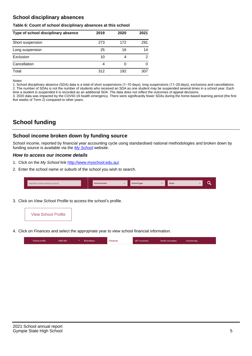# **School disciplinary absences**

#### **Table 6: Count of school disciplinary absences at this school**

| Type of school disciplinary absence | 2019 | 2020 | 2021 |
|-------------------------------------|------|------|------|
| Short suspension                    | 273  | 172  | 291  |
| Long suspension                     | 25   | 16   | 14   |
| Exclusion                           | 10   | 4    | 2    |
| Cancellation                        | 4    |      | 0    |
| Total                               | 312  | 192  | 307  |

Notes

1. School disciplinary absence (SDA) data is a total of short suspensions (1–10 days), long suspensions (11–20 days), exclusions and cancellations. 2. The number of SDAs is not the number of students who received an SDA as one student may be suspended several times in a school year. Each time a student is suspended it is recorded as an additional SDA. The data does not reflect the outcomes of appeal decisions.

3. 2020 data was impacted by the COVID-19 health emergency. There were significantly fewer SDAs during the home-based learning period (the first five weeks of Term 2) compared to other years.

# **School funding**

## **School income broken down by funding source**

School income, reported by financial year accounting cycle using standardised national methodologies and broken down by funding source is available via the [My School](http://www.myschool.edu.au/) website.

## **How to access our income details**

- 1. Click on the My School link <http://www.myschool.edu.au/>.
- 2. Enter the school name or suburb of the school you wish to search.

| Search by school name or suburb | <b>School sector</b> | School type | <b>State</b> |  |
|---------------------------------|----------------------|-------------|--------------|--|
|                                 |                      |             |              |  |

3. Click on View School Profile to access the school's profile.



4. Click on Finances and select the appropriate year to view school financial information.

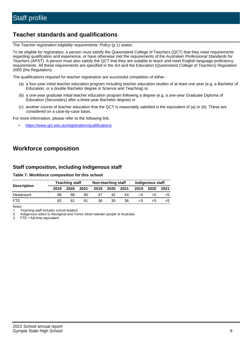# **Teacher standards and qualifications**

The Teacher registration eligibility requirements: Policy (p.1) states:

To be eligible for registration, a person must satisfy the Queensland College of Teachers (QCT) that they meet requirements regarding qualification and experience, or have otherwise met the requirements of the Australian Professional Standards for Teachers (APST). A person must also satisfy the QCT that they are suitable to teach and meet English language proficiency requirements. All these requirements are specified in the Act and the Education (Queensland College of Teachers) Regulation 2005 (the Regulation).

The qualifications required for teacher registration are successful completion of either -

- (a) a four-year initial teacher education program including teacher education studies of at least one year (e.g. a Bachelor of Education, or a double Bachelor degree in Science and Teaching) or
- (b) a one-year graduate initial teacher education program following a degree (e.g. a one-year Graduate Diploma of Education (Secondary) after a three-year Bachelor degree) or
- (c) another course of teacher education that the QCT is reasonably satisfied is the equivalent of (a) or (b). These are considered on a case-by-case basis.

For more information, please refer to the following link:

• <https://www.qct.edu.au/registration/qualifications>

# **Workforce composition**

# **Staff composition, including Indigenous staff**

### **Table 7: Workforce composition for this school**

|                    | <b>Teaching staff</b> |      |      | Non-teaching staff |      |      | Indigenous staff |      |      |
|--------------------|-----------------------|------|------|--------------------|------|------|------------------|------|------|
| <b>Description</b> | 2019                  | 2020 | 2021 | 2019               | 2020 | 2021 | 2019             | 2020 | 2021 |
| Headcount          | 88                    | 88   | 90   | 47                 | 42   | 44   | <5               | <5   |      |
| <b>FTF</b>         | 82                    | 81   | 81   | 36                 | 35   | 36   | <5               | ה>   |      |

Notes

1. Teaching staff includes school leaders.

2. Indigenous refers to Aboriginal and Torres Strait Islander people of Australia.

3. FTE = full-time equivalent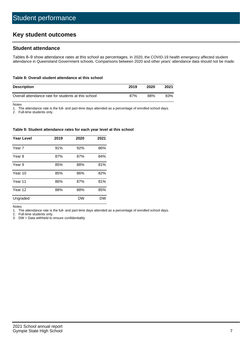# **Key student outcomes**

# **Student attendance**

Tables 8–9 show attendance rates at this school as percentages. In 2020, the COVID-19 health emergency affected student attendance in Queensland Government schools. Comparisons between 2020 and other years' attendance data should not be made.

#### **Table 8: Overall student attendance at this school**

| <b>Description</b>                                  | 2019 | 2020 | 2021 |
|-----------------------------------------------------|------|------|------|
| Overall attendance rate for students at this school | 87%  | 88%  | 83%  |

Notes

1. The attendance rate is the full- and part-time days attended as a percentage of enrolled school days.

2. Full-time students only.

#### **Table 9: Student attendance rates for each year level at this school**

| <b>Year Level</b> | 2019 | 2020      | 2021      |
|-------------------|------|-----------|-----------|
| Year 7            | 91%  | 92%       | 86%       |
| Year 8            | 87%  | 87%       | 84%       |
| Year 9            | 85%  | 88%       | 81%       |
| Year 10           | 85%  | 86%       | 82%       |
| Year 11           | 86%  | 87%       | 81%       |
| Year 12           | 88%  | 88%       | 85%       |
| Ungraded          |      | <b>DW</b> | <b>DW</b> |

Notes

1. The attendance rate is the full- and part-time days attended as a percentage of enrolled school days.<br>2. Full-time students only.

Full-time students only.

3. DW = Data withheld to ensure confidentiality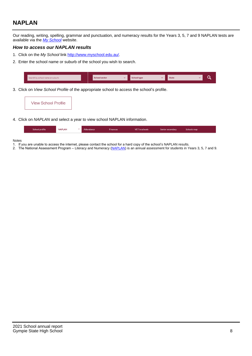# **NAPLAN**

Our reading, writing, spelling, grammar and punctuation, and numeracy results for the Years 3, 5, 7 and 9 NAPLAN tests are available via the [My School](http://www.myschool.edu.au/) website.

## **How to access our NAPLAN results**

- 1. Click on the My School link <http://www.myschool.edu.au/>.
- 2. Enter the school name or suburb of the school you wish to search.

| Search by school name or suburb | <b>School sector</b> | <b>School type</b>                        |          | <b>State</b> |  |
|---------------------------------|----------------------|-------------------------------------------|----------|--------------|--|
|                                 |                      |                                           |          |              |  |
|                                 |                      | $\sim$ $\sim$ $\sim$ $\sim$ $\sim$ $\sim$ | $\cdots$ |              |  |

3. Click on View School Profile of the appropriate school to access the school's profile.

| <b>View School Profile</b> |
|----------------------------|
|----------------------------|

4. Click on NAPLAN and select a year to view school NAPLAN information.

|  | School profile | <b>NAPLAN</b><br>$\sim$ 1 | Attendance | <b>Finances</b> | <b>VET</b> in schools | Senior secondary | Schools map |
|--|----------------|---------------------------|------------|-----------------|-----------------------|------------------|-------------|
|--|----------------|---------------------------|------------|-----------------|-----------------------|------------------|-------------|

#### Notes

- 1. If you are unable to access the internet, please contact the school for a hard copy of the school's NAPLAN results.
- 2. The National Assessment Program Literacy and Numeracy ([NAPLAN\)](http://www.nap.edu.au/naplan) is an annual assessment for students in Years 3, 5, 7 and 9.